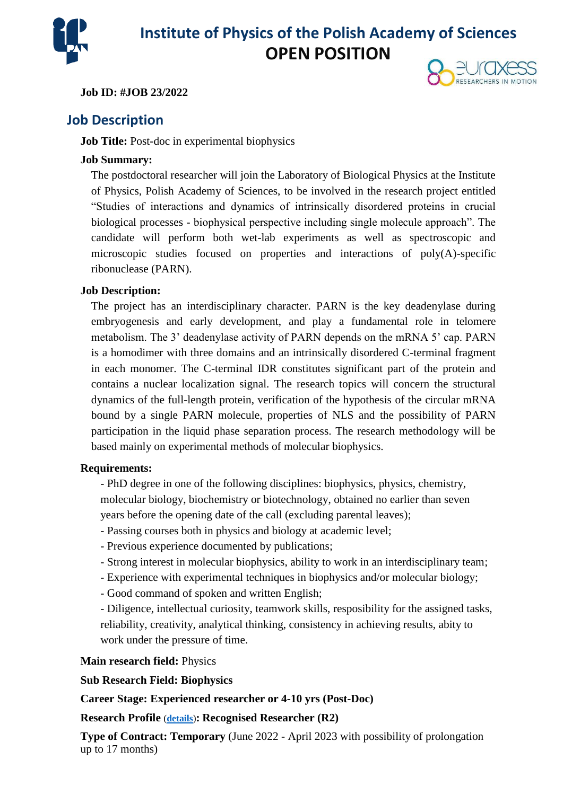

# **Institute of Physics of the Polish Academy of Sciences OPEN POSITION**

#### **Job ID: #JOB 23/2022**



## **Job Description**

#### **Job Title:** Post-doc in experimental biophysics

#### **Job Summary:**

The postdoctoral researcher will join the Laboratory of Biological Physics at the Institute of Physics, Polish Academy of Sciences, to be involved in the research project entitled "Studies of interactions and dynamics of intrinsically disordered proteins in crucial biological processes - biophysical perspective including single molecule approach". The candidate will perform both wet-lab experiments as well as spectroscopic and microscopic studies focused on properties and interactions of poly(A)-specific ribonuclease (PARN).

#### **Job Description:**

The project has an interdisciplinary character. PARN is the key deadenylase during embryogenesis and early development, and play a fundamental role in telomere metabolism. The 3' deadenylase activity of PARN depends on the mRNA 5' cap. PARN is a homodimer with three domains and an intrinsically disordered C-terminal fragment in each monomer. The C-terminal IDR constitutes significant part of the protein and contains a nuclear localization signal. The research topics will concern the structural dynamics of the full-length protein, verification of the hypothesis of the circular mRNA bound by a single PARN molecule, properties of NLS and the possibility of PARN participation in the liquid phase separation process. The research methodology will be based mainly on experimental methods of molecular biophysics.

#### **Requirements:**

- PhD degree in one of the following disciplines: biophysics, physics, chemistry, molecular biology, biochemistry or biotechnology, obtained no earlier than seven years before the opening date of the call (excluding parental leaves);

- Passing courses both in physics and biology at academic level;
- Previous experience documented by publications;
- Strong interest in molecular biophysics, ability to work in an interdisciplinary team;
- Experience with experimental techniques in biophysics and/or molecular biology;
- Good command of spoken and written English;

- Diligence, intellectual curiosity, teamwork skills, resposibility for the assigned tasks, reliability, creativity, analytical thinking, consistency in achieving results, abity to work under the pressure of time.

#### **Main research field:** Physics

### **Sub Research Field: Biophysics**

### **Career Stage: Experienced researcher or 4-10 yrs (Post-Doc)**

### **Research Profile** (**[details](https://euraxess.ec.europa.eu/europe/career-development/training-researchers/research-profiles-descriptors)**)**: Recognised Researcher (R2)**

**Type of Contract: Temporary** (June 2022 - April 2023 with possibility of prolongation up to 17 months)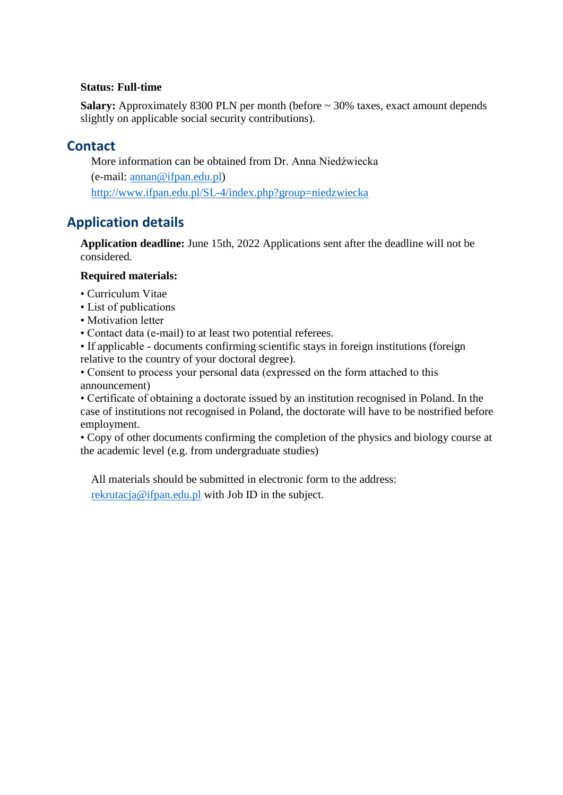#### **Status: Full-time**

**Salary:** Approximately 8300 PLN per month (before ~ 30% taxes, exact amount depends slightly on applicable social security contributions).

## **Contact**

More information can be obtained from Dr. Anna Niedźwiecka (e-mail: [annan@ifpan.edu.pl\)](mailto:annan@ifpan.edu.pl) <http://www.ifpan.edu.pl/SL-4/index.php?group=niedzwiecka>

## **Application details**

**Application deadline:** June 15th, 2022 Applications sent after the deadline will not be considered.

### **Required materials:**

- Curriculum Vitae
- List of publications
- Motivation letter
- Contact data (e-mail) to at least two potential referees.
- If applicable documents confirming scientific stays in foreign institutions (foreign relative to the country of your doctoral degree).
- Consent to process your personal data (expressed on the form attached to this announcement)

• Certificate of obtaining a doctorate issued by an institution recognised in Poland. In the case of institutions not recognised in Poland, the doctorate will have to be nostrified before employment.

• Copy of other documents confirming the completion of the physics and biology course at the academic level (e.g. from undergraduate studies)

All materials should be submitted in electronic form to the address: [rekrutacja@ifpan.edu.pl](mailto:rekrutacja@ifpan.edu.pl) with Job ID in the subject.